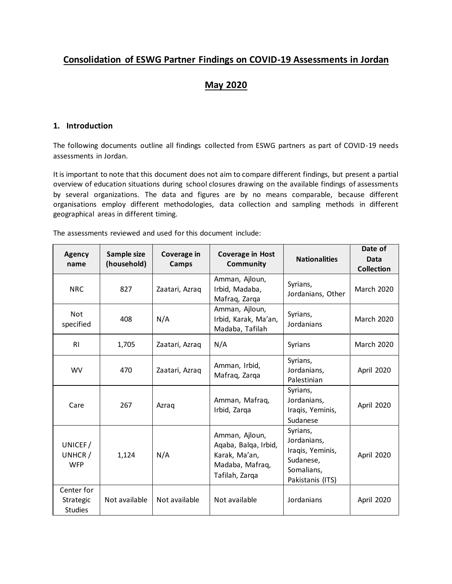# **Consolidation of ESWG Partner Findings on COVID-19 Assessments in Jordan**

# **May 2020**

## **1. Introduction**

The following documents outline all findings collected from ESWG partners as part of COVID-19 needs assessments in Jordan.

It is important to note that this document does not aim to compare different findings, but present a partial overview of education situations during school closures drawing on the available findings of assessments by several organizations. The data and figures are by no means comparable, because different organisations employ different methodologies, data collection and sampling methods in different geographical areas in different timing.

The assessments reviewed and used for this document include:

| <b>Agency</b><br>name                     | Sample size<br>(household) | Coverage in<br>Camps | <b>Coverage in Host</b><br>Community                                                         | <b>Nationalities</b>                                                                       | Date of<br>Data<br><b>Collection</b> |
|-------------------------------------------|----------------------------|----------------------|----------------------------------------------------------------------------------------------|--------------------------------------------------------------------------------------------|--------------------------------------|
| <b>NRC</b>                                | 827                        | Zaatari, Azraq       | Amman, Ajloun,<br>Irbid, Madaba,<br>Mafraq, Zarqa                                            | Syrians,<br>Jordanians, Other                                                              | <b>March 2020</b>                    |
| Not<br>specified                          | 408                        | N/A                  | Amman, Ajloun,<br>Irbid, Karak, Ma'an,<br>Madaba, Tafilah                                    | Syrians,<br>Jordanians                                                                     | <b>March 2020</b>                    |
| R <sub>l</sub>                            | 1,705                      | Zaatari, Azraq       | N/A                                                                                          | Syrians                                                                                    | <b>March 2020</b>                    |
| WV                                        | 470                        | Zaatari, Azraq       | Amman, Irbid,<br>Mafraq, Zarqa                                                               | Syrians,<br>Jordanians,<br>Palestinian                                                     | April 2020                           |
| Care                                      | 267                        | Azraq                | Amman, Mafraq,<br>Irbid, Zarga                                                               | Syrians,<br>Jordanians,<br>Iraqis, Yeminis,<br>Sudanese                                    | April 2020                           |
| UNICEF/<br>UNHCR /<br><b>WFP</b>          | 1,124                      | N/A                  | Amman, Ajloun,<br>Aqaba, Balqa, Irbid,<br>Karak, Ma'an,<br>Madaba, Mafraq,<br>Tafilah, Zarqa | Syrians,<br>Jordanians,<br>Iraqis, Yeminis,<br>Sudanese,<br>Somalians,<br>Pakistanis (ITS) | April 2020                           |
| Center for<br>Strategic<br><b>Studies</b> | Not available              | Not available        | Not available                                                                                | Jordanians                                                                                 | April 2020                           |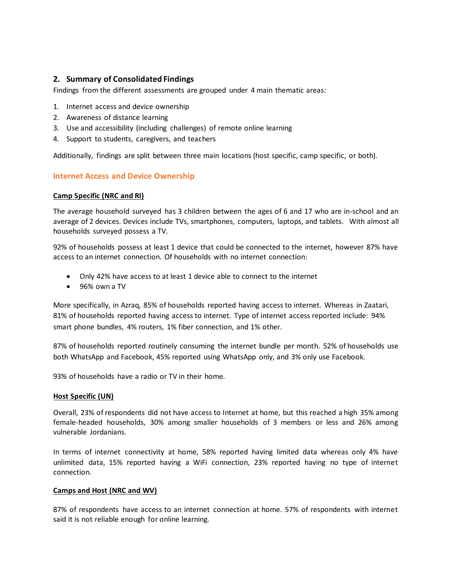# **2. Summary of Consolidated Findings**

Findings from the different assessments are grouped under 4 main thematic areas:

- 1. Internet access and device ownership
- 2. Awareness of distance learning
- 3. Use and accessibility (including challenges) of remote online learning
- 4. Support to students, caregivers, and teachers

Additionally, findings are split between three main locations (host specific, camp specific, or both).

#### **Internet Access and Device Ownership**

#### **Camp Specific (NRC and RI)**

The average household surveyed has 3 children between the ages of 6 and 17 who are in-school and an average of 2 devices. Devices include TVs, smartphones, computers, laptops, and tablets. With almost all households surveyed possess a TV.

92% of households possess at least 1 device that could be connected to the internet, however 87% have access to an internet connection. Of households with no internet connection:

- Only 42% have access to at least 1 device able to connect to the internet
- 96% own a TV

More specifically, in Azraq, 85% of households reported having access to internet. Whereas in Zaatari, 81% of households reported having access to internet. Type of internet access reported include: 94% smart phone bundles, 4% routers, 1% fiber connection, and 1% other.

87% of households reported routinely consuming the internet bundle per month. 52% of households use both WhatsApp and Facebook, 45% reported using WhatsApp only, and 3% only use Facebook.

93% of households have a radio or TV in their home.

#### **Host Specific (UN)**

Overall, 23% of respondents did not have access to Internet at home, but this reached a high 35% among female-headed households, 30% among smaller households of 3 members or less and 26% among vulnerable Jordanians.

In terms of internet connectivity at home, 58% reported having limited data whereas only 4% have unlimited data, 15% reported having a WiFi connection, 23% reported having no type of internet connection.

#### **Camps and Host (NRC and WV)**

87% of respondents have access to an internet connection at home. 57% of respondents with internet said it is not reliable enough for online learning.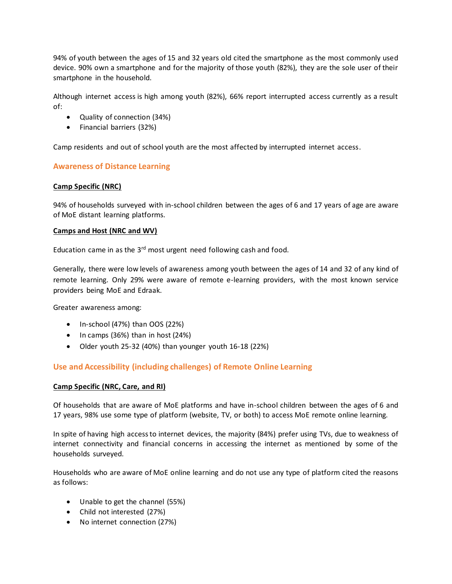94% of youth between the ages of 15 and 32 years old cited the smartphone as the most commonly used device. 90% own a smartphone and for the majority of those youth (82%), they are the sole user of their smartphone in the household.

Although internet access is high among youth (82%), 66% report interrupted access currently as a result of:

- Quality of connection (34%)
- Financial barriers (32%)

Camp residents and out of school youth are the most affected by interrupted internet access.

## **Awareness of Distance Learning**

#### **Camp Specific (NRC)**

94% of households surveyed with in-school children between the ages of 6 and 17 years of age are aware of MoE distant learning platforms.

#### **Camps and Host (NRC and WV)**

Education came in as the  $3<sup>rd</sup>$  most urgent need following cash and food.

Generally, there were low levels of awareness among youth between the ages of 14 and 32 of any kind of remote learning. Only 29% were aware of remote e-learning providers, with the most known service providers being MoE and Edraak.

Greater awareness among:

- $\bullet$  In-school (47%) than OOS (22%)
- $\bullet$  In camps (36%) than in host (24%)
- Older youth 25-32 (40%) than younger youth 16-18 (22%)

### **Use and Accessibility (including challenges) of Remote Online Learning**

#### **Camp Specific (NRC, Care, and RI)**

Of households that are aware of MoE platforms and have in-school children between the ages of 6 and 17 years, 98% use some type of platform (website, TV, or both) to access MoE remote online learning.

In spite of having high access to internet devices, the majority (84%) prefer using TVs, due to weakness of internet connectivity and financial concerns in accessing the internet as mentioned by some of the households surveyed.

Households who are aware of MoE online learning and do not use any type of platform cited the reasons as follows:

- Unable to get the channel (55%)
- Child not interested (27%)
- No internet connection (27%)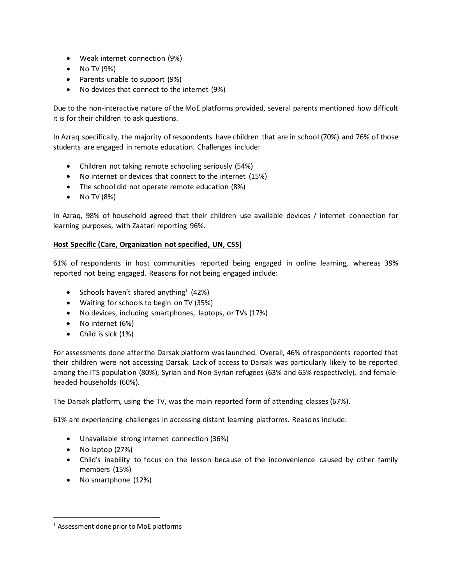- Weak internet connection (9%)
- $\bullet$  No TV (9%)
- Parents unable to support (9%)
- No devices that connect to the internet (9%)

Due to the non-interactive nature of the MoE platforms provided, several parents mentioned how difficult it is for their children to ask questions.

In Azraq specifically, the majority of respondents have children that are in school (70%) and 76% of those students are engaged in remote education. Challenges include:

- Children not taking remote schooling seriously (54%)
- No internet or devices that connect to the internet (15%)
- The school did not operate remote education (8%)
- $\bullet$  No TV (8%)

In Azraq, 98% of household agreed that their children use available devices / internet connection for learning purposes, with Zaatari reporting 96%.

### **Host Specific (Care, Organization not specified, UN, CSS)**

61% of respondents in host communities reported being engaged in online learning, whereas 39% reported not being engaged. Reasons for not being engaged include:

- Schools haven't shared anything<sup>1</sup> (42%)
- Waiting for schools to begin on TV (35%)
- No devices, including smartphones, laptops, or TVs (17%)
- No internet (6%)
- Child is sick (1%)

For assessments done after the Darsak platform was launched. Overall, 46% of respondents reported that their children were not accessing Darsak. Lack of access to Darsak was particularly likely to be reported among the ITS population (80%), Syrian and Non-Syrian refugees (63% and 65% respectively), and femaleheaded households (60%).

The Darsak platform, using the TV, was the main reported form of attending classes (67%).

61% are experiencing challenges in accessing distant learning platforms. Reasons include:

- Unavailable strong internet connection (36%)
- No laptop (27%)

 $\overline{a}$ 

- Child's inability to focus on the lesson because of the inconvenience caused by other family members (15%)
- No smartphone (12%)

<sup>1</sup> Assessment done prior to MoE platforms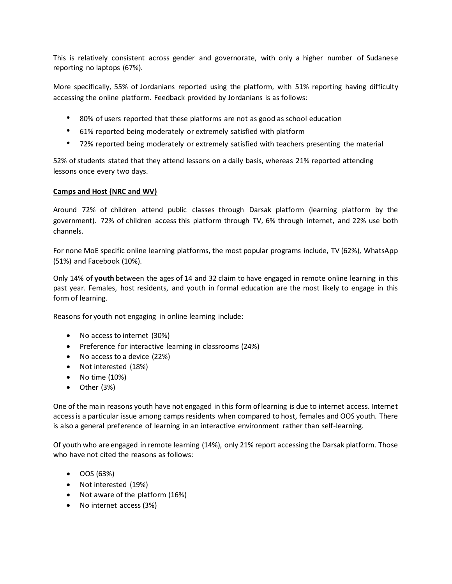This is relatively consistent across gender and governorate, with only a higher number of Sudanese reporting no laptops (67%).

More specifically, 55% of Jordanians reported using the platform, with 51% reporting having difficulty accessing the online platform. Feedback provided by Jordanians is as follows:

- 80% of users reported that these platforms are not as good as school education
- 61% reported being moderately or extremely satisfied with platform
- 72% reported being moderately or extremely satisfied with teachers presenting the material

52% of students stated that they attend lessons on a daily basis, whereas 21% reported attending lessons once every two days.

#### **Camps and Host (NRC and WV)**

Around 72% of children attend public classes through Darsak platform (learning platform by the government). 72% of children access this platform through TV, 6% through internet, and 22% use both channels.

For none MoE specific online learning platforms, the most popular programs include, TV (62%), WhatsApp (51%) and Facebook (10%).

Only 14% of **youth** between the ages of 14 and 32 claim to have engaged in remote online learning in this past year. Females, host residents, and youth in formal education are the most likely to engage in this form of learning.

Reasons for youth not engaging in online learning include:

- No access to internet (30%)
- Preference for interactive learning in classrooms (24%)
- No access to a device (22%)
- Not interested (18%)
- $\bullet$  No time (10%)
- Other (3%)

One of the main reasons youth have not engaged in this form of learning is due to internet access. Internet access is a particular issue among camps residents when compared to host, females and OOS youth. There is also a general preference of learning in an interactive environment rather than self-learning.

Of youth who are engaged in remote learning (14%), only 21% report accessing the Darsak platform. Those who have not cited the reasons as follows:

- OOS (63%)
- Not interested (19%)
- Not aware of the platform (16%)
- No internet access (3%)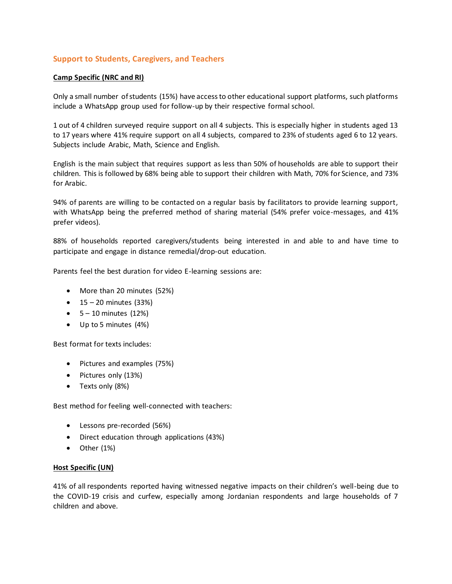## **Support to Students, Caregivers, and Teachers**

#### **Camp Specific (NRC and RI)**

Only a small number of students (15%) have access to other educational support platforms, such platforms include a WhatsApp group used for follow-up by their respective formal school.

1 out of 4 children surveyed require support on all 4 subjects. This is especially higher in students aged 13 to 17 years where 41% require support on all 4 subjects, compared to 23% of students aged 6 to 12 years. Subjects include Arabic, Math, Science and English.

English is the main subject that requires support as less than 50% of households are able to support their children. This is followed by 68% being able to support their children with Math, 70% for Science, and 73% for Arabic.

94% of parents are willing to be contacted on a regular basis by facilitators to provide learning support, with WhatsApp being the preferred method of sharing material (54% prefer voice-messages, and 41% prefer videos).

88% of households reported caregivers/students being interested in and able to and have time to participate and engage in distance remedial/drop-out education.

Parents feel the best duration for video E-learning sessions are:

- More than 20 minutes (52%)
- $\bullet$  15 20 minutes (33%)
- $-5 10$  minutes  $(12%)$
- Up to 5 minutes (4%)

Best format for texts includes:

- Pictures and examples (75%)
- Pictures only (13%)
- Texts only (8%)

Best method for feeling well-connected with teachers:

- Lessons pre-recorded (56%)
- Direct education through applications (43%)
- $\bullet$  Other  $(1%)$

#### **Host Specific (UN)**

41% of all respondents reported having witnessed negative impacts on their children's well-being due to the COVID-19 crisis and curfew, especially among Jordanian respondents and large households of 7 children and above.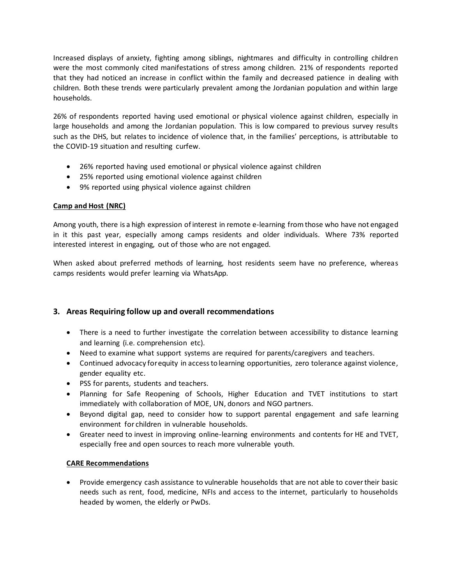Increased displays of anxiety, fighting among siblings, nightmares and difficulty in controlling children were the most commonly cited manifestations of stress among children. 21% of respondents reported that they had noticed an increase in conflict within the family and decreased patience in dealing with children. Both these trends were particularly prevalent among the Jordanian population and within large households.

26% of respondents reported having used emotional or physical violence against children, especially in large households and among the Jordanian population. This is low compared to previous survey results such as the DHS, but relates to incidence of violence that, in the families' perceptions, is attributable to the COVID-19 situation and resulting curfew.

- 26% reported having used emotional or physical violence against children
- 25% reported using emotional violence against children
- 9% reported using physical violence against children

# **Camp and Host (NRC)**

Among youth, there is a high expression of interest in remote e-learning from those who have not engaged in it this past year, especially among camps residents and older individuals. Where 73% reported interested interest in engaging, out of those who are not engaged.

When asked about preferred methods of learning, host residents seem have no preference, whereas camps residents would prefer learning via WhatsApp.

# **3. Areas Requiring follow up and overall recommendations**

- There is a need to further investigate the correlation between accessibility to distance learning and learning (i.e. comprehension etc).
- Need to examine what support systems are required for parents/caregivers and teachers.
- Continued advocacy for equity in access to learning opportunities, zero tolerance against violence, gender equality etc.
- PSS for parents, students and teachers.
- Planning for Safe Reopening of Schools, Higher Education and TVET institutions to start immediately with collaboration of MOE, UN, donors and NGO partners.
- Beyond digital gap, need to consider how to support parental engagement and safe learning environment for children in vulnerable households.
- Greater need to invest in improving online-learning environments and contents for HE and TVET, especially free and open sources to reach more vulnerable youth.

### **CARE Recommendations**

 Provide emergency cash assistance to vulnerable households that are not able to cover their basic needs such as rent, food, medicine, NFIs and access to the internet, particularly to households headed by women, the elderly or PwDs.